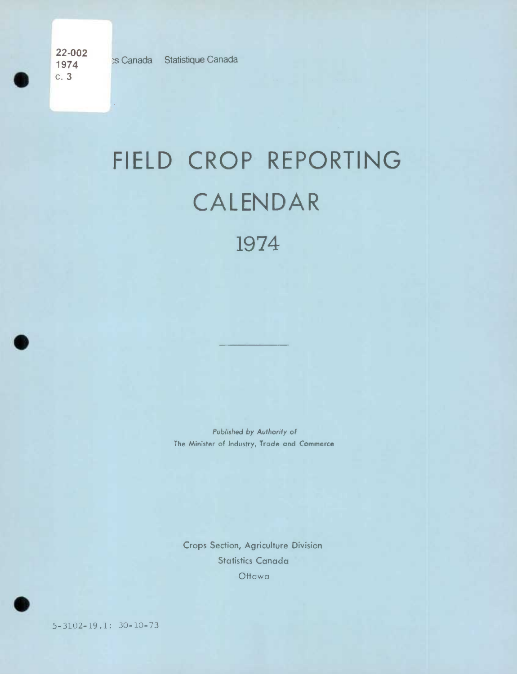**22-002**  c.3

**a** 

.

## FIELD CROP REPORTING CALENDAR 1974

*Published by Authority of*  **The Minister of Industry, Trade and Commerce** 

Crops Section, Agriculture Division Statistics Canada *Ottawa* 



*5-3102-19.1: 30-10-73*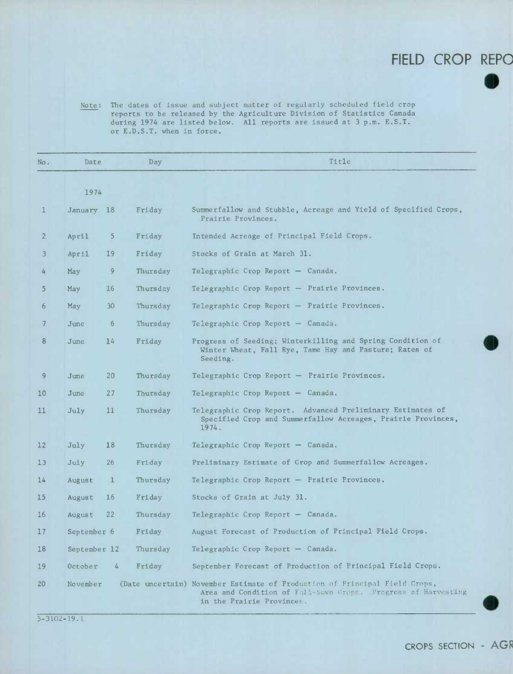## **FIELD CROP REPO**

**S** 

Note: The dates of issue and subject matter of regularly scheduled field crop reports to be released by the Agriculture Division of Statistics Canada during 1974 are listed below. All reports are issued at 3 p.m. E.S.T. or E.D.S.T. when in force.

| No.             | Date         |    | Day      | Title                                                                                                                                                                    |
|-----------------|--------------|----|----------|--------------------------------------------------------------------------------------------------------------------------------------------------------------------------|
|                 | 1974         |    |          |                                                                                                                                                                          |
| $\mathbf{1}$    | January 18   |    | Friday   | Summerfallow and Stubble, Acreage and Yield of Specified Crops,<br>Prairie Provinces.                                                                                    |
| $\overline{2}$  | April        | 5  | Friday   | Intended Acreage of Principal Field Crops.                                                                                                                               |
| 3               | April        | 19 | Friday   | Stocks of Grain at March 31.                                                                                                                                             |
| 4               | May          | 9  | Thursday | Telegraphic Crop Report - Canada.                                                                                                                                        |
| 5               | May          | 16 | Thursday | Telegraphic Crop Report - Prairie Provinces.                                                                                                                             |
| 6               | May          | 30 | Thursday | Telegraphic Crop Report - Prairie Provinces.                                                                                                                             |
| 7               | June         | 6  | Thursday | Telegraphic Crop Report $-$ Canada.                                                                                                                                      |
| 8               | June         | 14 | Friday   | Progress of Seeding; Winterkilling and Spring Condition of<br>Winter Wheat, Fall Rye, Tame Hay and Pasture; Rates of<br>Seeding.                                         |
| 9               | June         | 20 | Thursday | Telegraphic Crop Report - Prairie Provinces.                                                                                                                             |
| 10              | June         | 27 | Thursday | Telegraphic Crop Report - Canada.                                                                                                                                        |
| 11 <sup>1</sup> | July         | 11 | Thursday | Telegraphic Crop Report. Advanced Preliminary Estimates of<br>Specified Crop and Summerfallow Acreages, Prairie Provinces,<br>1974.                                      |
| 12              | July         | 18 | Thursday | Telegraphic Crop Report $-$ Canada.                                                                                                                                      |
| 13              | July         | 26 | Friday   | Preliminary Estimate of Crop and Summerfallow Acreages.                                                                                                                  |
| 14              | August       | 1  | Thursday | Telegraphic Crop Report - Prairie Provinces.                                                                                                                             |
| 15              | August       | 16 | Friday   | Stocks of Grain at July 31.                                                                                                                                              |
| 16              | August       | 22 | Thursday | Telegraphic Crop Report $-$ Canada.                                                                                                                                      |
| 17              | September 6  |    | Friday   | August Forecast of Production of Principal Field Crops.                                                                                                                  |
| 18              | September 12 |    | Thursday | Telegraphic Crop Report - Canada.                                                                                                                                        |
| 19              | October      | 4  | Friday   | September Forecast of Production of Principal Field Crops.                                                                                                               |
| 20              | November     |    |          | (Date uncertain) November Estimate of Production of Principal Field Crops,<br>Area and Condition of Fall-Sewn Crops. Progress of Harvesting<br>in the Prairie Provinces. |

5-3102-19.1

CROPS SECTION - AGR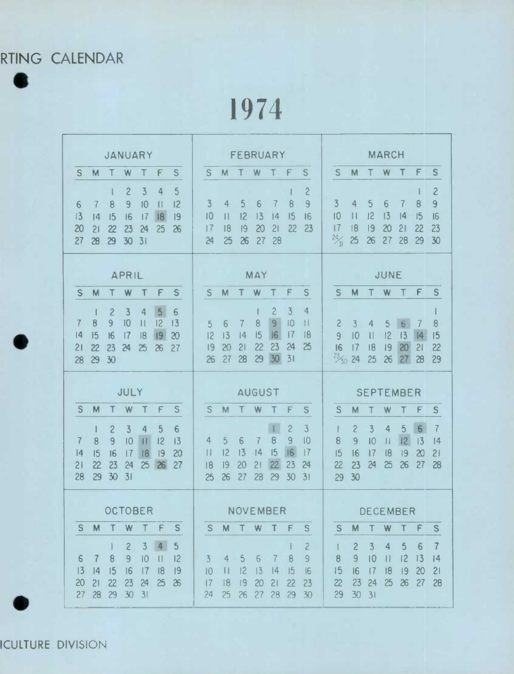RTING CALENDAR  $\bullet$ 

1974

| <b>JANUARY</b>                                                                                                                                                                                                                                                                    | <b>FEBRUARY</b>                                                                                                                                                                                                                                                     | <b>MARCH</b>                                                                                                                                                                                                                                  |
|-----------------------------------------------------------------------------------------------------------------------------------------------------------------------------------------------------------------------------------------------------------------------------------|---------------------------------------------------------------------------------------------------------------------------------------------------------------------------------------------------------------------------------------------------------------------|-----------------------------------------------------------------------------------------------------------------------------------------------------------------------------------------------------------------------------------------------|
| S<br>M<br>W<br>S<br>F                                                                                                                                                                                                                                                             | <sub>S</sub><br>S<br>M<br>W<br>F<br>Τ<br>Τ                                                                                                                                                                                                                          | S<br>S<br>W<br>т<br>F<br>M                                                                                                                                                                                                                    |
| $\overline{c}$<br>$\overline{3}$<br>4<br>5<br>$\overline{9}$<br>10<br>12<br>7<br>8<br>6<br>$\ $<br>13<br> 8 <br>16<br>17<br> 9<br> 4<br>15<br>20<br>$\overline{z}$<br>23<br>25<br>26<br>21<br>24<br>27<br>29<br>30<br>31<br>28                                                    | $\overline{c}$<br>$\overline{3}$<br>5<br>6<br>$\overline{9}$<br>$\overline{4}$<br>8<br>7<br>10<br>12<br>13<br>15<br> 1 <br> 4<br>16<br>22<br>20<br>21<br>23<br> 7<br>18<br> 9<br>25<br>28<br>24<br>26<br>27                                                         | $\overline{c}$<br>$\overline{9}$<br>$\overline{3}$<br>5<br>6<br>$\overline{4}$<br>8<br>7<br>12<br> 3<br>16<br> 0<br> 4<br>15<br>$\mathbf{H}$<br>20<br>23<br> 7<br> 8<br> 9<br>21<br>22<br>$\frac{24}{31}$<br>25<br>28<br>26<br>27<br>29<br>30 |
| <b>APRIL</b>                                                                                                                                                                                                                                                                      | <b>MAY</b>                                                                                                                                                                                                                                                          | JUNE                                                                                                                                                                                                                                          |
| S<br>M<br>T<br>W<br>Τ<br>F<br>S.                                                                                                                                                                                                                                                  | S<br>M<br>Т<br>W<br>Т<br>F<br>S                                                                                                                                                                                                                                     | M<br>F<br>S<br><sub>S</sub><br>W                                                                                                                                                                                                              |
| 5<br>$\overline{c}$<br>$\overline{\mathbf{3}}$<br>$\overline{4}$<br>1<br>6<br>10<br>12<br>9 <sup>°</sup><br>$\vert \vert$<br>13<br>$\theta$<br>7<br> 9 <br>15<br> 4<br>16<br>17<br> 8<br>20<br>$\overline{22}$<br>23<br>25<br>$\overline{21}$<br>24<br>26<br>27<br>29<br>30<br>28 | $\overline{3}$<br>$\overline{c}$<br>$\overline{4}$<br>9<br>10<br>$\begin{array}{c} \hline \end{array}$<br>$\overline{7}$<br>8<br>6<br>5<br>15<br> 6 <br>17<br> 8<br>12<br>13<br> 4<br>23<br>21<br>22<br>24<br>න<br>20<br> 9<br>30<br>31<br>28<br>29<br>27<br>$\chi$ | 6 <sup>1</sup><br>8<br>$\overline{c}$<br>3<br>5<br>4<br>7<br> 4 <br>12<br>13<br> 5<br> 0<br>$\overline{9}$<br>$\mathbf{  }$<br>20<br>21<br>16<br>17<br>19<br>22<br>18<br>$\frac{23}{30}$ 24<br>27<br>25<br>26<br>28<br>29                     |
|                                                                                                                                                                                                                                                                                   |                                                                                                                                                                                                                                                                     |                                                                                                                                                                                                                                               |
| JULY                                                                                                                                                                                                                                                                              | <b>AUGUST</b>                                                                                                                                                                                                                                                       | <b>SEPTEMBER</b>                                                                                                                                                                                                                              |
| <sub>S</sub><br>M<br>т<br><sub>S</sub><br>W<br>F<br>Т                                                                                                                                                                                                                             | <sub>S</sub><br>M<br>T.<br>W<br>F.<br>S.<br>Т                                                                                                                                                                                                                       | S<br>M<br>S<br>W<br>F<br>т                                                                                                                                                                                                                    |
| $\overline{c}$<br>$\overline{3}$<br>$\overline{4}$<br>5<br>$6 \overline{6}$<br>ı<br>$\mathbf{H}$<br>10<br>12<br>8<br>9<br>13<br>7<br> 4<br>15<br>18<br> 9<br>20<br>16<br>17<br>23<br>22<br>25<br>26<br>27<br>24<br>2 <sup>1</sup><br>28<br>30<br>29<br>31                         | $\mathbf{L}$<br>$\overline{c}$<br>$\overline{3}$<br>8<br>$\overline{9}$<br>10<br>6<br>4<br>$\overline{5}$<br>7<br> 16 <br>12<br>13<br> 4<br> 5<br> 7<br>$\mathbb{H}$<br>22<br>21<br>23<br> 9<br>20<br>24<br>18<br>26<br>27<br>28<br>25<br>29<br>30<br>31            | 6<br>5<br>$\overline{7}$<br>$\overline{3}$<br>$\overline{4}$<br>$\overline{c}$<br> 2 <br>10<br>13<br>$\overline{9}$<br>$\mid \mid$<br> 4<br>8<br> 9<br>16<br>18<br>20<br>21<br>15<br> 7<br>25<br>26<br>27<br>23<br>24<br>28<br>22<br>30<br>29 |
| <b>OCTOBER</b>                                                                                                                                                                                                                                                                    | <b>NOVEMBER</b>                                                                                                                                                                                                                                                     | <b>DECEMBER</b>                                                                                                                                                                                                                               |
| M<br>W<br>S<br>Τ<br>S<br>т<br>F                                                                                                                                                                                                                                                   | M <sub>T</sub><br>W<br>S<br>Τ<br>F<br>S.                                                                                                                                                                                                                            | M<br>W<br>S<br>Τ<br>S<br>Τ<br>F                                                                                                                                                                                                               |

ICULTURE DIVISION

.

.